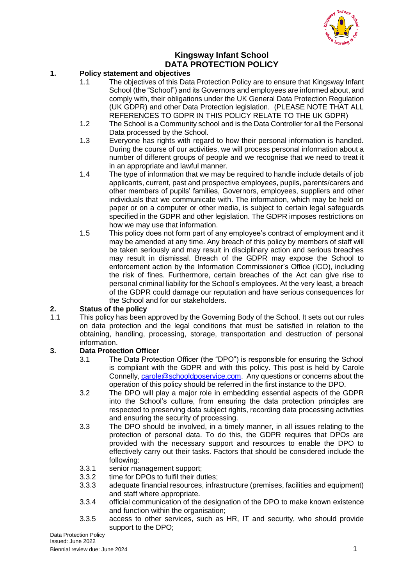

# **Kingsway Infant School DATA PROTECTION POLICY**

# **1. Policy statement and objectives**

- 1.1 The objectives of this Data Protection Policy are to ensure that Kingsway Infant School (the "School") and its Governors and employees are informed about, and comply with, their obligations under the UK General Data Protection Regulation (UK GDPR) and other Data Protection legislation. (PLEASE NOTE THAT ALL REFERENCES TO GDPR IN THIS POLICY RELATE TO THE UK GDPR)
- 1.2 The School is a Community school and is the Data Controller for all the Personal Data processed by the School.
- 1.3 Everyone has rights with regard to how their personal information is handled. During the course of our activities, we will process personal information about a number of different groups of people and we recognise that we need to treat it in an appropriate and lawful manner.
- 1.4 The type of information that we may be required to handle include details of job applicants, current, past and prospective employees, pupils, parents/carers and other members of pupils' families, Governors, employees, suppliers and other individuals that we communicate with. The information, which may be held on paper or on a computer or other media, is subject to certain legal safeguards specified in the GDPR and other legislation. The GDPR imposes restrictions on how we may use that information.
- 1.5 This policy does not form part of any employee's contract of employment and it may be amended at any time. Any breach of this policy by members of staff will be taken seriously and may result in disciplinary action and serious breaches may result in dismissal. Breach of the GDPR may expose the School to enforcement action by the Information Commissioner's Office (ICO), including the risk of fines. Furthermore, certain breaches of the Act can give rise to personal criminal liability for the School's employees. At the very least, a breach of the GDPR could damage our reputation and have serious consequences for the School and for our stakeholders.

#### **2. Status of the policy**

1.1 This policy has been approved by the Governing Body of the School. It sets out our rules on data protection and the legal conditions that must be satisfied in relation to the obtaining, handling, processing, storage, transportation and destruction of personal information.

#### **3. Data Protection Officer**

- 3.1 The Data Protection Officer (the "DPO") is responsible for ensuring the School is compliant with the GDPR and with this policy. This post is held by Carole Connelly, [carole@schooldposervice.com.](mailto:carole@schooldposervice.com) Any questions or concerns about the operation of this policy should be referred in the first instance to the DPO.
- 3.2 The DPO will play a major role in embedding essential aspects of the GDPR into the School's culture, from ensuring the data protection principles are respected to preserving data subject rights, recording data processing activities and ensuring the security of processing.
- 3.3 The DPO should be involved, in a timely manner, in all issues relating to the protection of personal data. To do this, the GDPR requires that DPOs are provided with the necessary support and resources to enable the DPO to effectively carry out their tasks. Factors that should be considered include the following:
- 3.3.1 senior management support;
- 3.3.2 time for DPOs to fulfil their duties;
- 3.3.3 adequate financial resources, infrastructure (premises, facilities and equipment) and staff where appropriate.
- 3.3.4 official communication of the designation of the DPO to make known existence and function within the organisation;
- 3.3.5 access to other services, such as HR, IT and security, who should provide support to the DPO;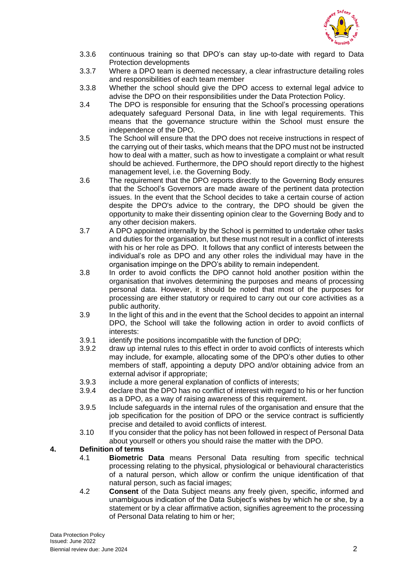

- 3.3.6 continuous training so that DPO's can stay up-to-date with regard to Data Protection developments
- 3.3.7 Where a DPO team is deemed necessary, a clear infrastructure detailing roles and responsibilities of each team member
- 3.3.8 Whether the school should give the DPO access to external legal advice to advise the DPO on their responsibilities under the Data Protection Policy.
- 3.4 The DPO is responsible for ensuring that the School's processing operations adequately safeguard Personal Data, in line with legal requirements. This means that the governance structure within the School must ensure the independence of the DPO.
- 3.5 The School will ensure that the DPO does not receive instructions in respect of the carrying out of their tasks, which means that the DPO must not be instructed how to deal with a matter, such as how to investigate a complaint or what result should be achieved. Furthermore, the DPO should report directly to the highest management level, i.e. the Governing Body.
- 3.6 The requirement that the DPO reports directly to the Governing Body ensures that the School's Governors are made aware of the pertinent data protection issues. In the event that the School decides to take a certain course of action despite the DPO's advice to the contrary, the DPO should be given the opportunity to make their dissenting opinion clear to the Governing Body and to any other decision makers.
- 3.7 A DPO appointed internally by the School is permitted to undertake other tasks and duties for the organisation, but these must not result in a conflict of interests with his or her role as DPO. It follows that any conflict of interests between the individual's role as DPO and any other roles the individual may have in the organisation impinge on the DPO's ability to remain independent.
- 3.8 In order to avoid conflicts the DPO cannot hold another position within the organisation that involves determining the purposes and means of processing personal data. However, it should be noted that most of the purposes for processing are either statutory or required to carry out our core activities as a public authority.
- 3.9 In the light of this and in the event that the School decides to appoint an internal DPO, the School will take the following action in order to avoid conflicts of interests:
- 3.9.1 identify the positions incompatible with the function of DPO;
- 3.9.2 draw up internal rules to this effect in order to avoid conflicts of interests which may include, for example, allocating some of the DPO's other duties to other members of staff, appointing a deputy DPO and/or obtaining advice from an external advisor if appropriate;
- 3.9.3 include a more general explanation of conflicts of interests;
- 3.9.4 declare that the DPO has no conflict of interest with regard to his or her function as a DPO, as a way of raising awareness of this requirement.
- 3.9.5 Include safeguards in the internal rules of the organisation and ensure that the job specification for the position of DPO or the service contract is sufficiently precise and detailed to avoid conflicts of interest.
- 3.10 If you consider that the policy has not been followed in respect of Personal Data about yourself or others you should raise the matter with the DPO.

#### **4. Definition of terms**

- 4.1 **Biometric Data** means Personal Data resulting from specific technical processing relating to the physical, physiological or behavioural characteristics of a natural person, which allow or confirm the unique identification of that natural person, such as facial images;
- 4.2 **Consent** of the Data Subject means any freely given, specific, informed and unambiguous indication of the Data Subject's wishes by which he or she, by a statement or by a clear affirmative action, signifies agreement to the processing of Personal Data relating to him or her;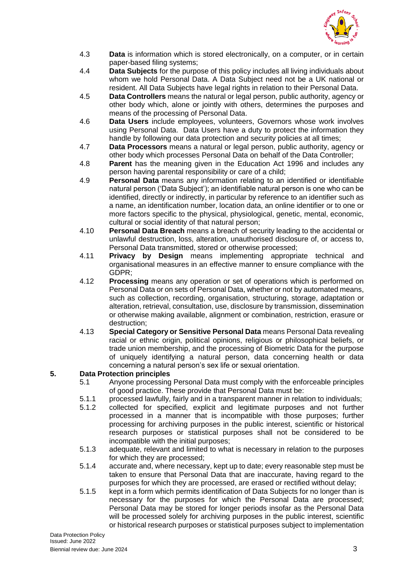

- 4.3 **Data** is information which is stored electronically, on a computer, or in certain paper-based filing systems;
- 4.4 **Data Subjects** for the purpose of this policy includes all living individuals about whom we hold Personal Data. A Data Subject need not be a UK national or resident. All Data Subjects have legal rights in relation to their Personal Data.
- 4.5 **Data Controllers** means the natural or legal person, public authority, agency or other body which, alone or jointly with others, determines the purposes and means of the processing of Personal Data.
- 4.6 **Data Users** include employees, volunteers, Governors whose work involves using Personal Data. Data Users have a duty to protect the information they handle by following our data protection and security policies at all times;
- 4.7 **Data Processors** means a natural or legal person, public authority, agency or other body which processes Personal Data on behalf of the Data Controller;
- 4.8 **Parent** has the meaning given in the Education Act 1996 and includes any person having parental responsibility or care of a child;
- 4.9 **Personal Data** means any information relating to an identified or identifiable natural person ('Data Subject'); an identifiable natural person is one who can be identified, directly or indirectly, in particular by reference to an identifier such as a name, an identification number, location data, an online identifier or to one or more factors specific to the physical, physiological, genetic, mental, economic, cultural or social identity of that natural person;
- 4.10 **Personal Data Breach** means a breach of security leading to the accidental or unlawful destruction, loss, alteration, unauthorised disclosure of, or access to, Personal Data transmitted, stored or otherwise processed;
- 4.11 **Privacy by Design** means implementing appropriate technical and organisational measures in an effective manner to ensure compliance with the GDPR;
- 4.12 **Processing** means any operation or set of operations which is performed on Personal Data or on sets of Personal Data, whether or not by automated means, such as collection, recording, organisation, structuring, storage, adaptation or alteration, retrieval, consultation, use, disclosure by transmission, dissemination or otherwise making available, alignment or combination, restriction, erasure or destruction;
- 4.13 **Special Category or Sensitive Personal Data** means Personal Data revealing racial or ethnic origin, political opinions, religious or philosophical beliefs, or trade union membership, and the processing of Biometric Data for the purpose of uniquely identifying a natural person, data concerning health or data concerning a natural person's sex life or sexual orientation.

# **5. Data Protection principles**

- 5.1 Anyone processing Personal Data must comply with the enforceable principles of good practice. These provide that Personal Data must be:
- 
- 5.1.1 processed lawfully, fairly and in a transparent manner in relation to individuals;<br>5.1.2 collected for specified, explicit and legitimate purposes and not further collected for specified, explicit and legitimate purposes and not further processed in a manner that is incompatible with those purposes; further processing for archiving purposes in the public interest, scientific or historical research purposes or statistical purposes shall not be considered to be incompatible with the initial purposes;
- 5.1.3 adequate, relevant and limited to what is necessary in relation to the purposes for which they are processed;
- 5.1.4 accurate and, where necessary, kept up to date; every reasonable step must be taken to ensure that Personal Data that are inaccurate, having regard to the purposes for which they are processed, are erased or rectified without delay;
- 5.1.5 kept in a form which permits identification of Data Subjects for no longer than is necessary for the purposes for which the Personal Data are processed; Personal Data may be stored for longer periods insofar as the Personal Data will be processed solely for archiving purposes in the public interest, scientific or historical research purposes or statistical purposes subject to implementation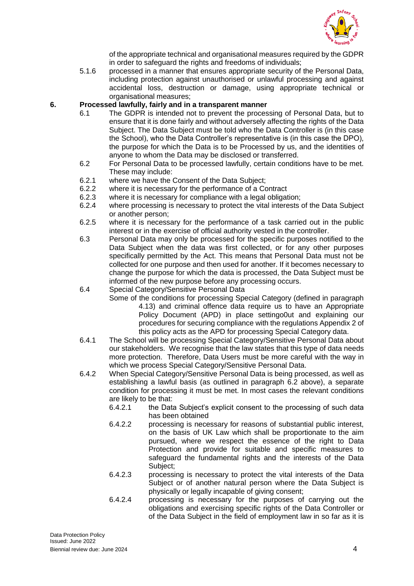

of the appropriate technical and organisational measures required by the GDPR in order to safeguard the rights and freedoms of individuals;

5.1.6 processed in a manner that ensures appropriate security of the Personal Data, including protection against unauthorised or unlawful processing and against accidental loss, destruction or damage, using appropriate technical or organisational measures;

#### **6. Processed lawfully, fairly and in a transparent manner**

- 6.1 The GDPR is intended not to prevent the processing of Personal Data, but to ensure that it is done fairly and without adversely affecting the rights of the Data Subject. The Data Subject must be told who the Data Controller is (in this case the School), who the Data Controller's representative is (in this case the DPO), the purpose for which the Data is to be Processed by us, and the identities of anyone to whom the Data may be disclosed or transferred.
- 6.2 For Personal Data to be processed lawfully, certain conditions have to be met. These may include:
- 6.2.1 where we have the Consent of the Data Subject;
- 6.2.2 where it is necessary for the performance of a Contract
- 6.2.3 where it is necessary for compliance with a legal obligation;
- 6.2.4 where processing is necessary to protect the vital interests of the Data Subject or another person;
- 6.2.5 where it is necessary for the performance of a task carried out in the public interest or in the exercise of official authority vested in the controller.
- 6.3 Personal Data may only be processed for the specific purposes notified to the Data Subject when the data was first collected, or for any other purposes specifically permitted by the Act. This means that Personal Data must not be collected for one purpose and then used for another. If it becomes necessary to change the purpose for which the data is processed, the Data Subject must be informed of the new purpose before any processing occurs.
- 6.4 Special Category/Sensitive Personal Data
	- Some of the conditions for processing Special Category (defined in paragraph 4.13) and criminal offence data require us to have an Appropriate Policy Document (APD) in place settingo0ut and explaining our procedures for securing compliance with the regulations Appendix 2 of this policy acts as the APD for processing Special Category data.
- 6.4.1 The School will be processing Special Category/Sensitive Personal Data about our stakeholders. We recognise that the law states that this type of data needs more protection. Therefore, Data Users must be more careful with the way in which we process Special Category/Sensitive Personal Data.
- 6.4.2 When Special Category/Sensitive Personal Data is being processed, as well as establishing a lawful basis (as outlined in paragraph 6.2 above), a separate condition for processing it must be met. In most cases the relevant conditions are likely to be that:
	- 6.4.2.1 the Data Subject's explicit consent to the processing of such data has been obtained
	- 6.4.2.2 processing is necessary for reasons of substantial public interest, on the basis of UK Law which shall be proportionate to the aim pursued, where we respect the essence of the right to Data Protection and provide for suitable and specific measures to safeguard the fundamental rights and the interests of the Data Subject;
	- 6.4.2.3 processing is necessary to protect the vital interests of the Data Subject or of another natural person where the Data Subject is physically or legally incapable of giving consent;
	- 6.4.2.4 processing is necessary for the purposes of carrying out the obligations and exercising specific rights of the Data Controller or of the Data Subject in the field of employment law in so far as it is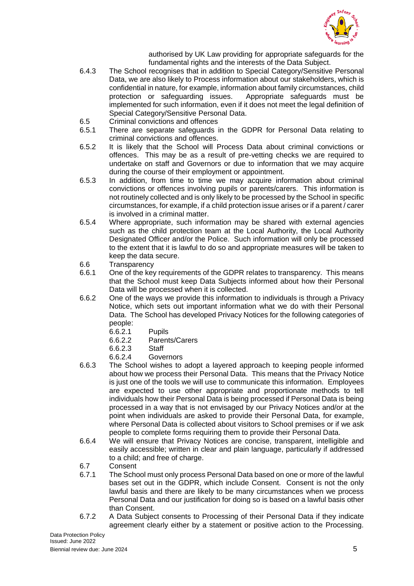

authorised by UK Law providing for appropriate safeguards for the fundamental rights and the interests of the Data Subject.

- 6.4.3 The School recognises that in addition to Special Category/Sensitive Personal Data, we are also likely to Process information about our stakeholders, which is confidential in nature, for example, information about family circumstances, child protection or safeguarding issues. Appropriate safeguards must be implemented for such information, even if it does not meet the legal definition of Special Category/Sensitive Personal Data.
- 6.5 Criminal convictions and offences
- 6.5.1 There are separate safeguards in the GDPR for Personal Data relating to criminal convictions and offences.
- 6.5.2 It is likely that the School will Process Data about criminal convictions or offences. This may be as a result of pre-vetting checks we are required to undertake on staff and Governors or due to information that we may acquire during the course of their employment or appointment.
- 6.5.3 In addition, from time to time we may acquire information about criminal convictions or offences involving pupils or parents/carers. This information is not routinely collected and is only likely to be processed by the School in specific circumstances, for example, if a child protection issue arises or if a parent / carer is involved in a criminal matter.
- 6.5.4 Where appropriate, such information may be shared with external agencies such as the child protection team at the Local Authority, the Local Authority Designated Officer and/or the Police. Such information will only be processed to the extent that it is lawful to do so and appropriate measures will be taken to keep the data secure.
- 6.6 Transparency
- 6.6.1 One of the key requirements of the GDPR relates to transparency. This means that the School must keep Data Subjects informed about how their Personal Data will be processed when it is collected.
- 6.6.2 One of the ways we provide this information to individuals is through a Privacy Notice, which sets out important information what we do with their Personal Data. The School has developed Privacy Notices for the following categories of people:
	- 6.6.2.1 Pupils
	- 6.6.2.2 Parents/Carers
	- 6.6.2.3 Staff
	- 6.6.2.4 Governors
- 6.6.3 The School wishes to adopt a layered approach to keeping people informed about how we process their Personal Data. This means that the Privacy Notice is just one of the tools we will use to communicate this information. Employees are expected to use other appropriate and proportionate methods to tell individuals how their Personal Data is being processed if Personal Data is being processed in a way that is not envisaged by our Privacy Notices and/or at the point when individuals are asked to provide their Personal Data, for example, where Personal Data is collected about visitors to School premises or if we ask people to complete forms requiring them to provide their Personal Data.
- 6.6.4 We will ensure that Privacy Notices are concise, transparent, intelligible and easily accessible; written in clear and plain language, particularly if addressed to a child; and free of charge.
- 6.7 Consent
- 6.7.1 The School must only process Personal Data based on one or more of the lawful bases set out in the GDPR, which include Consent. Consent is not the only lawful basis and there are likely to be many circumstances when we process Personal Data and our justification for doing so is based on a lawful basis other than Consent.
- 6.7.2 A Data Subject consents to Processing of their Personal Data if they indicate agreement clearly either by a statement or positive action to the Processing.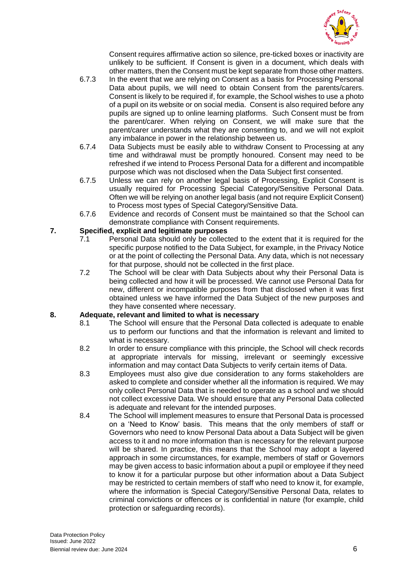

Consent requires affirmative action so silence, pre-ticked boxes or inactivity are unlikely to be sufficient. If Consent is given in a document, which deals with other matters, then the Consent must be kept separate from those other matters.

- 6.7.3 In the event that we are relying on Consent as a basis for Processing Personal Data about pupils, we will need to obtain Consent from the parents/carers. Consent is likely to be required if, for example, the School wishes to use a photo of a pupil on its website or on social media. Consent is also required before any pupils are signed up to online learning platforms. Such Consent must be from the parent/carer. When relying on Consent, we will make sure that the parent/carer understands what they are consenting to, and we will not exploit any imbalance in power in the relationship between us.
- 6.7.4 Data Subjects must be easily able to withdraw Consent to Processing at any time and withdrawal must be promptly honoured. Consent may need to be refreshed if we intend to Process Personal Data for a different and incompatible purpose which was not disclosed when the Data Subject first consented.
- 6.7.5 Unless we can rely on another legal basis of Processing, Explicit Consent is usually required for Processing Special Category/Sensitive Personal Data. Often we will be relying on another legal basis (and not require Explicit Consent) to Process most types of Special Category/Sensitive Data.
- 6.7.6 Evidence and records of Consent must be maintained so that the School can demonstrate compliance with Consent requirements.

#### **7. Specified, explicit and legitimate purposes**

- 7.1 Personal Data should only be collected to the extent that it is required for the specific purpose notified to the Data Subject, for example, in the Privacy Notice or at the point of collecting the Personal Data. Any data, which is not necessary for that purpose, should not be collected in the first place.
- 7.2 The School will be clear with Data Subjects about why their Personal Data is being collected and how it will be processed. We cannot use Personal Data for new, different or incompatible purposes from that disclosed when it was first obtained unless we have informed the Data Subject of the new purposes and they have consented where necessary.

# **8. Adequate, relevant and limited to what is necessary**

- The School will ensure that the Personal Data collected is adequate to enable us to perform our functions and that the information is relevant and limited to what is necessary.
- 8.2 In order to ensure compliance with this principle, the School will check records at appropriate intervals for missing, irrelevant or seemingly excessive information and may contact Data Subjects to verify certain items of Data.
- 8.3 Employees must also give due consideration to any forms stakeholders are asked to complete and consider whether all the information is required. We may only collect Personal Data that is needed to operate as a school and we should not collect excessive Data. We should ensure that any Personal Data collected is adequate and relevant for the intended purposes.
- 8.4 The School will implement measures to ensure that Personal Data is processed on a 'Need to Know' basis. This means that the only members of staff or Governors who need to know Personal Data about a Data Subject will be given access to it and no more information than is necessary for the relevant purpose will be shared. In practice, this means that the School may adopt a layered approach in some circumstances, for example, members of staff or Governors may be given access to basic information about a pupil or employee if they need to know it for a particular purpose but other information about a Data Subject may be restricted to certain members of staff who need to know it, for example, where the information is Special Category/Sensitive Personal Data, relates to criminal convictions or offences or is confidential in nature (for example, child protection or safeguarding records).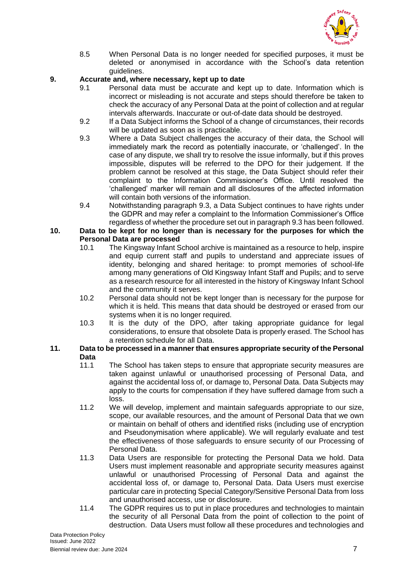

8.5 When Personal Data is no longer needed for specified purposes, it must be deleted or anonymised in accordance with the School's data retention guidelines.

# **9. Accurate and, where necessary, kept up to date**

- 9.1 Personal data must be accurate and kept up to date. Information which is incorrect or misleading is not accurate and steps should therefore be taken to check the accuracy of any Personal Data at the point of collection and at regular intervals afterwards. Inaccurate or out-of-date data should be destroyed.
- 9.2 If a Data Subject informs the School of a change of circumstances, their records will be updated as soon as is practicable.
- 9.3 Where a Data Subject challenges the accuracy of their data, the School will immediately mark the record as potentially inaccurate, or 'challenged'. In the case of any dispute, we shall try to resolve the issue informally, but if this proves impossible, disputes will be referred to the DPO for their judgement. If the problem cannot be resolved at this stage, the Data Subject should refer their complaint to the Information Commissioner's Office. Until resolved the 'challenged' marker will remain and all disclosures of the affected information will contain both versions of the information.
- 9.4 Notwithstanding paragraph 9.3, a Data Subject continues to have rights under the GDPR and may refer a complaint to the Information Commissioner's Office regardless of whether the procedure set out in paragraph 9.3 has been followed.

# **10. Data to be kept for no longer than is necessary for the purposes for which the Personal Data are processed**<br>10.1 The Kingsway Infant S

- The Kingsway Infant School archive is maintained as a resource to help, inspire and equip current staff and pupils to understand and appreciate issues of identity, belonging and shared heritage: to prompt memories of school-life among many generations of Old Kingsway Infant Staff and Pupils; and to serve as a research resource for all interested in the history of Kingsway Infant School and the community it serves.
- 10.2 Personal data should not be kept longer than is necessary for the purpose for which it is held. This means that data should be destroyed or erased from our systems when it is no longer required.
- 10.3 It is the duty of the DPO, after taking appropriate guidance for legal considerations, to ensure that obsolete Data is properly erased. The School has a retention schedule for all Data.

#### **11. Data to be processed in a manner that ensures appropriate security of the Personal Data**

- 11.1 The School has taken steps to ensure that appropriate security measures are taken against unlawful or unauthorised processing of Personal Data, and against the accidental loss of, or damage to, Personal Data. Data Subjects may apply to the courts for compensation if they have suffered damage from such a loss.
- 11.2 We will develop, implement and maintain safeguards appropriate to our size, scope, our available resources, and the amount of Personal Data that we own or maintain on behalf of others and identified risks (including use of encryption and Pseudonymisation where applicable). We will regularly evaluate and test the effectiveness of those safeguards to ensure security of our Processing of Personal Data.
- 11.3 Data Users are responsible for protecting the Personal Data we hold. Data Users must implement reasonable and appropriate security measures against unlawful or unauthorised Processing of Personal Data and against the accidental loss of, or damage to, Personal Data. Data Users must exercise particular care in protecting Special Category/Sensitive Personal Data from loss and unauthorised access, use or disclosure.
- 11.4 The GDPR requires us to put in place procedures and technologies to maintain the security of all Personal Data from the point of collection to the point of destruction. Data Users must follow all these procedures and technologies and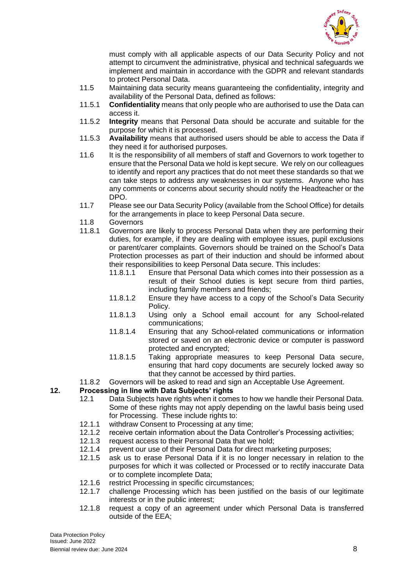

must comply with all applicable aspects of our Data Security Policy and not attempt to circumvent the administrative, physical and technical safeguards we implement and maintain in accordance with the GDPR and relevant standards to protect Personal Data.

- 11.5 Maintaining data security means guaranteeing the confidentiality, integrity and availability of the Personal Data, defined as follows:
- 11.5.1 **Confidentiality** means that only people who are authorised to use the Data can access it.
- 11.5.2 **Integrity** means that Personal Data should be accurate and suitable for the purpose for which it is processed.
- 11.5.3 **Availability** means that authorised users should be able to access the Data if they need it for authorised purposes.
- 11.6 It is the responsibility of all members of staff and Governors to work together to ensure that the Personal Data we hold is kept secure. We rely on our colleagues to identify and report any practices that do not meet these standards so that we can take steps to address any weaknesses in our systems. Anyone who has any comments or concerns about security should notify the Headteacher or the DPO.
- 11.7 Please see our Data Security Policy (available from the School Office) for details for the arrangements in place to keep Personal Data secure.
- 11.8 Governors
- 11.8.1 Governors are likely to process Personal Data when they are performing their duties, for example, if they are dealing with employee issues, pupil exclusions or parent/carer complaints. Governors should be trained on the School's Data Protection processes as part of their induction and should be informed about their responsibilities to keep Personal Data secure. This includes:
	- 11.8.1.1 Ensure that Personal Data which comes into their possession as a result of their School duties is kept secure from third parties, including family members and friends;
	- 11.8.1.2 Ensure they have access to a copy of the School's Data Security Policy.
	- 11.8.1.3 Using only a School email account for any School-related communications;
	- 11.8.1.4 Ensuring that any School-related communications or information stored or saved on an electronic device or computer is password protected and encrypted;
	- 11.8.1.5 Taking appropriate measures to keep Personal Data secure, ensuring that hard copy documents are securely locked away so that they cannot be accessed by third parties.
- 11.8.2 Governors will be asked to read and sign an Acceptable Use Agreement.

#### **12. Processing in line with Data Subjects' rights**

- 12.1 Data Subjects have rights when it comes to how we handle their Personal Data. Some of these rights may not apply depending on the lawful basis being used for Processing. These include rights to:
- 12.1.1 withdraw Consent to Processing at any time;
- 12.1.2 receive certain information about the Data Controller's Processing activities;
- 12.1.3 request access to their Personal Data that we hold;
- 12.1.4 prevent our use of their Personal Data for direct marketing purposes;
- 12.1.5 ask us to erase Personal Data if it is no longer necessary in relation to the purposes for which it was collected or Processed or to rectify inaccurate Data or to complete incomplete Data;
- 12.1.6 restrict Processing in specific circumstances;<br>12.1.7 challenge Processing which has been justific
- challenge Processing which has been justified on the basis of our legitimate interests or in the public interest;
- 12.1.8 request a copy of an agreement under which Personal Data is transferred outside of the EEA;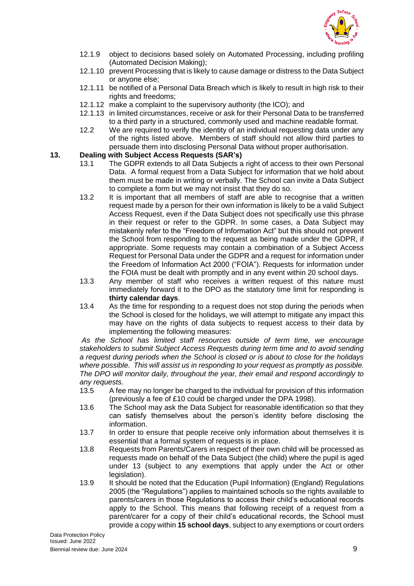

- 12.1.9 object to decisions based solely on Automated Processing, including profiling (Automated Decision Making);
- 12.1.10 prevent Processing that is likely to cause damage or distress to the Data Subject or anyone else;
- 12.1.11 be notified of a Personal Data Breach which is likely to result in high risk to their rights and freedoms;
- 12.1.12 make a complaint to the supervisory authority (the ICO); and
- 12.1.13 in limited circumstances, receive or ask for their Personal Data to be transferred to a third party in a structured, commonly used and machine readable format.
- 12.2 We are required to verify the identity of an individual requesting data under any of the rights listed above. Members of staff should not allow third parties to persuade them into disclosing Personal Data without proper authorisation.

#### **13. Dealing with Subject Access Requests (SAR's)**

- 13.1 The GDPR extends to all Data Subjects a right of access to their own Personal Data. A formal request from a Data Subject for information that we hold about them must be made in writing or verbally. The School can invite a Data Subject to complete a form but we may not insist that they do so.
- 13.2 It is important that all members of staff are able to recognise that a written request made by a person for their own information is likely to be a valid Subject Access Request, even if the Data Subject does not specifically use this phrase in their request or refer to the GDPR. In some cases, a Data Subject may mistakenly refer to the "Freedom of Information Act" but this should not prevent the School from responding to the request as being made under the GDPR, if appropriate. Some requests may contain a combination of a Subject Access Request for Personal Data under the GDPR and a request for information under the Freedom of Information Act 2000 ("FOIA"). Requests for information under the FOIA must be dealt with promptly and in any event within 20 school days.
- 13.3 Any member of staff who receives a written request of this nature must immediately forward it to the DPO as the statutory time limit for responding is **thirty calendar days**.
- 13.4 As the time for responding to a request does not stop during the periods when the School is closed for the holidays, we will attempt to mitigate any impact this may have on the rights of data subjects to request access to their data by implementing the following measures:

*As the School has limited staff resources outside of term time, we encourage stakeholders to submit Subject Access Requests during term time and to avoid sending a request during periods when the School is closed or is about to close for the holidays where possible. This will assist us in responding to your request as promptly as possible. The DPO will monitor daily, throughout the year, their email and respond accordingly to any requests.*

- 13.5 A fee may no longer be charged to the individual for provision of this information (previously a fee of £10 could be charged under the DPA 1998).
- 13.6 The School may ask the Data Subject for reasonable identification so that they can satisfy themselves about the person's identity before disclosing the information.
- 13.7 In order to ensure that people receive only information about themselves it is essential that a formal system of requests is in place.
- 13.8 Requests from Parents/Carers in respect of their own child will be processed as requests made on behalf of the Data Subject (the child) where the pupil is aged under 13 (subject to any exemptions that apply under the Act or other legislation).
- 13.9 It should be noted that the Education (Pupil Information) (England) Regulations 2005 (the "Regulations") applies to maintained schools so the rights available to parents/carers in those Regulations to access their child's educational records apply to the School. This means that following receipt of a request from a parent/carer for a copy of their child's educational records, the School must provide a copy within **15 school days**, subject to any exemptions or court orders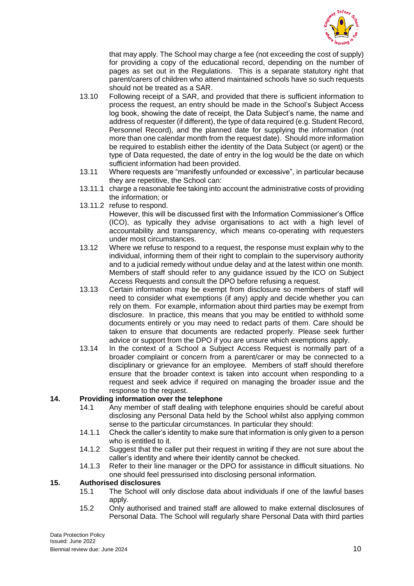

that may apply. The School may charge a fee (not exceeding the cost of supply) for providing a copy of the educational record, depending on the number of pages as set out in the Regulations. This is a separate statutory right that parent/carers of children who attend maintained schools have so such requests should not be treated as a SAR.

- 13.10 Following receipt of a SAR, and provided that there is sufficient information to process the request, an entry should be made in the School's Subject Access log book, showing the date of receipt, the Data Subject's name, the name and address of requester (if different), the type of data required (e.g. Student Record, Personnel Record), and the planned date for supplying the information (not more than one calendar month from the request date). Should more information be required to establish either the identity of the Data Subject (or agent) or the type of Data requested, the date of entry in the log would be the date on which sufficient information had been provided.
- 13.11 Where requests are "manifestly unfounded or excessive", in particular because they are repetitive, the School can:
- 13.11.1 charge a reasonable fee taking into account the administrative costs of providing the information; or
- 13.11.2 refuse to respond. However, this will be discussed first with the Information Commissioner's Office (ICO), as typically they advise organisations to act with a high level of accountability and transparency, which means co-operating with requesters under most circumstances.
- 13.12 Where we refuse to respond to a request, the response must explain why to the individual, informing them of their right to complain to the supervisory authority and to a judicial remedy without undue delay and at the latest within one month. Members of staff should refer to any guidance issued by the ICO on Subject Access Requests and consult the DPO before refusing a request.
- 13.13 Certain information may be exempt from disclosure so members of staff will need to consider what exemptions (if any) apply and decide whether you can rely on them. For example, information about third parties may be exempt from disclosure. In practice, this means that you may be entitled to withhold some documents entirely or you may need to redact parts of them. Care should be taken to ensure that documents are redacted properly. Please seek further advice or support from the DPO if you are unsure which exemptions apply.
- 13.14 In the context of a School a Subject Access Request is normally part of a broader complaint or concern from a parent/carer or may be connected to a disciplinary or grievance for an employee. Members of staff should therefore ensure that the broader context is taken into account when responding to a request and seek advice if required on managing the broader issue and the response to the request.

#### **14. Providing information over the telephone**

- 14.1 Any member of staff dealing with telephone enquiries should be careful about disclosing any Personal Data held by the School whilst also applying common sense to the particular circumstances. In particular they should:
- 14.1.1 Check the caller's identity to make sure that information is only given to a person who is entitled to it.
- 14.1.2 Suggest that the caller put their request in writing if they are not sure about the caller's identity and where their identity cannot be checked.
- 14.1.3 Refer to their line manager or the DPO for assistance in difficult situations. No one should feel pressurised into disclosing personal information.

#### **15. Authorised disclosures**

- 15.1 The School will only disclose data about individuals if one of the lawful bases apply.
- 15.2 Only authorised and trained staff are allowed to make external disclosures of Personal Data. The School will regularly share Personal Data with third parties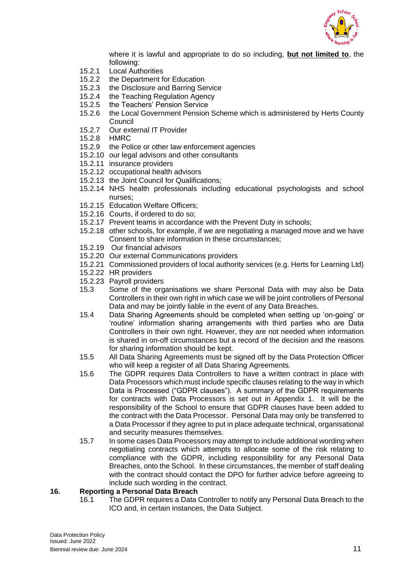

where it is lawful and appropriate to do so including, **but not limited to**, the following:

- 15.2.1 Local Authorities
- 15.2.2 the Department for Education
- 15.2.3 the Disclosure and Barring Service
- 15.2.4 the Teaching Regulation Agency<br>15.2.5 the Teachers' Pension Service
- the Teachers' Pension Service
- 15.2.6 the Local Government Pension Scheme which is administered by Herts County Council
- 15.2.7 Our external IT Provider
- 15.2.8 HMRC
- 15.2.9 the Police or other law enforcement agencies
- 15.2.10 our legal advisors and other consultants
- 15.2.11 insurance providers
- 15.2.12 occupational health advisors
- 15.2.13 the Joint Council for Qualifications;
- 15.2.14 NHS health professionals including educational psychologists and school nurses;
- 15.2.15 Education Welfare Officers;
- 15.2.16 Courts, if ordered to do so;
- 15.2.17 Prevent teams in accordance with the Prevent Duty in schools;
- 15.2.18 other schools, for example, if we are negotiating a managed move and we have Consent to share information in these circumstances;
- 15.2.19 Our financial advisors
- 15.2.20 Our external Communications providers
- 15.2.21 Commissioned providers of local authority services (e.g. Herts for Learning Ltd)
- 15.2.22 HR providers
- 15.2.23 Payroll providers
- 15.3 Some of the organisations we share Personal Data with may also be Data Controllers in their own right in which case we will be joint controllers of Personal Data and may be jointly liable in the event of any Data Breaches.
- 15.4 Data Sharing Agreements should be completed when setting up 'on-going' or 'routine' information sharing arrangements with third parties who are Data Controllers in their own right. However, they are not needed when information is shared in on-off circumstances but a record of the decision and the reasons for sharing information should be kept.
- 15.5 All Data Sharing Agreements must be signed off by the Data Protection Officer who will keep a register of all Data Sharing Agreements.
- 15.6 The GDPR requires Data Controllers to have a written contract in place with Data Processors which must include specific clauses relating to the way in which Data is Processed ("GDPR clauses"). A summary of the GDPR requirements for contracts with Data Processors is set out in Appendix 1. It will be the responsibility of the School to ensure that GDPR clauses have been added to the contract with the Data Processor. Personal Data may only be transferred to a Data Processor if they agree to put in place adequate technical, organisational and security measures themselves.
- 15.7 In some cases Data Processors may attempt to include additional wording when negotiating contracts which attempts to allocate some of the risk relating to compliance with the GDPR, including responsibility for any Personal Data Breaches, onto the School. In these circumstances, the member of staff dealing with the contract should contact the DPO for further advice before agreeing to include such wording in the contract.

#### **16. Reporting a Personal Data Breach**

16.1 The GDPR requires a Data Controller to notify any Personal Data Breach to the ICO and, in certain instances, the Data Subject.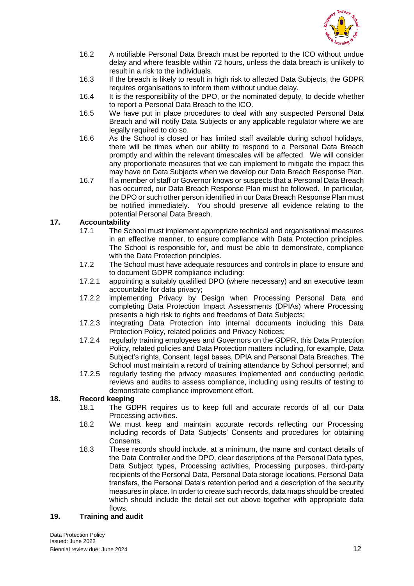

- 16.2 A notifiable Personal Data Breach must be reported to the ICO without undue delay and where feasible within 72 hours, unless the data breach is unlikely to result in a risk to the individuals.
- 16.3 If the breach is likely to result in high risk to affected Data Subjects, the GDPR requires organisations to inform them without undue delay.
- 16.4 It is the responsibility of the DPO, or the nominated deputy, to decide whether to report a Personal Data Breach to the ICO.
- 16.5 We have put in place procedures to deal with any suspected Personal Data Breach and will notify Data Subjects or any applicable regulator where we are legally required to do so.
- 16.6 As the School is closed or has limited staff available during school holidays, there will be times when our ability to respond to a Personal Data Breach promptly and within the relevant timescales will be affected. We will consider any proportionate measures that we can implement to mitigate the impact this may have on Data Subjects when we develop our Data Breach Response Plan.
- 16.7 If a member of staff or Governor knows or suspects that a Personal Data Breach has occurred, our Data Breach Response Plan must be followed. In particular, the DPO or such other person identified in our Data Breach Response Plan must be notified immediately. You should preserve all evidence relating to the potential Personal Data Breach.

# **17. Accountability**

- 17.1 The School must implement appropriate technical and organisational measures in an effective manner, to ensure compliance with Data Protection principles. The School is responsible for, and must be able to demonstrate, compliance with the Data Protection principles.
- 17.2 The School must have adequate resources and controls in place to ensure and to document GDPR compliance including:
- 17.2.1 appointing a suitably qualified DPO (where necessary) and an executive team accountable for data privacy;
- 17.2.2 implementing Privacy by Design when Processing Personal Data and completing Data Protection Impact Assessments (DPIAs) where Processing presents a high risk to rights and freedoms of Data Subjects;
- 17.2.3 integrating Data Protection into internal documents including this Data Protection Policy, related policies and Privacy Notices;
- 17.2.4 regularly training employees and Governors on the GDPR, this Data Protection Policy, related policies and Data Protection matters including, for example, Data Subject's rights, Consent, legal bases, DPIA and Personal Data Breaches. The School must maintain a record of training attendance by School personnel; and
- 17.2.5 regularly testing the privacy measures implemented and conducting periodic reviews and audits to assess compliance, including using results of testing to demonstrate compliance improvement effort.

#### **18. Record keeping**

- 18.1 The GDPR requires us to keep full and accurate records of all our Data Processing activities.
- 18.2 We must keep and maintain accurate records reflecting our Processing including records of Data Subjects' Consents and procedures for obtaining Consents.
- 18.3 These records should include, at a minimum, the name and contact details of the Data Controller and the DPO, clear descriptions of the Personal Data types, Data Subject types, Processing activities, Processing purposes, third-party recipients of the Personal Data, Personal Data storage locations, Personal Data transfers, the Personal Data's retention period and a description of the security measures in place. In order to create such records, data maps should be created which should include the detail set out above together with appropriate data flows.

#### **19. Training and audit**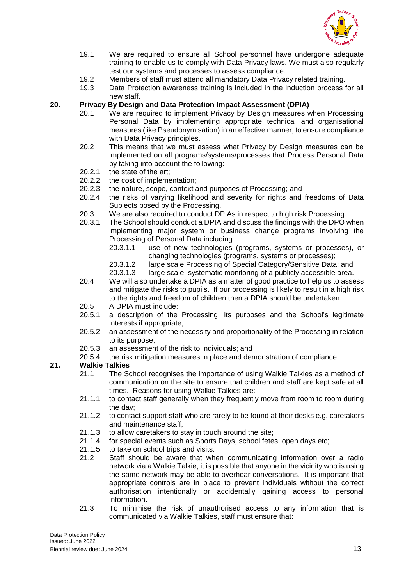

- 19.1 We are required to ensure all School personnel have undergone adequate training to enable us to comply with Data Privacy laws. We must also regularly test our systems and processes to assess compliance.
- 19.2 Members of staff must attend all mandatory Data Privacy related training.
- 19.3 Data Protection awareness training is included in the induction process for all new staff.

# **20. Privacy By Design and Data Protection Impact Assessment (DPIA)**

- 20.1 We are required to implement Privacy by Design measures when Processing Personal Data by implementing appropriate technical and organisational measures (like Pseudonymisation) in an effective manner, to ensure compliance with Data Privacy principles.
- 20.2 This means that we must assess what Privacy by Design measures can be implemented on all programs/systems/processes that Process Personal Data by taking into account the following:
- 20.2.1 the state of the art;
- 20.2.2 the cost of implementation;
- 20.2.3 the nature, scope, context and purposes of Processing; and
- 20.2.4 the risks of varying likelihood and severity for rights and freedoms of Data Subjects posed by the Processing.
- 20.3 We are also required to conduct DPIAs in respect to high risk Processing.
- 20.3.1 The School should conduct a DPIA and discuss the findings with the DPO when implementing major system or business change programs involving the Processing of Personal Data including:
	- 20.3.1.1 use of new technologies (programs, systems or processes), or changing technologies (programs, systems or processes);
	- 20.3.1.2 large scale Processing of Special Category/Sensitive Data; and
	- 20.3.1.3 large scale, systematic monitoring of a publicly accessible area.
- 20.4 We will also undertake a DPIA as a matter of good practice to help us to assess and mitigate the risks to pupils. If our processing is likely to result in a high risk to the rights and freedom of children then a DPIA should be undertaken.
- 20.5 A DPIA must include:
- 20.5.1 a description of the Processing, its purposes and the School's legitimate interests if appropriate;
- 20.5.2 an assessment of the necessity and proportionality of the Processing in relation to its purpose;
- 20.5.3 an assessment of the risk to individuals; and
- 20.5.4 the risk mitigation measures in place and demonstration of compliance.

#### **21. Walkie Talkies**

- 21.1 The School recognises the importance of using Walkie Talkies as a method of communication on the site to ensure that children and staff are kept safe at all times. Reasons for using Walkie Talkies are:
- 21.1.1 to contact staff generally when they frequently move from room to room during the day;
- 21.1.2 to contact support staff who are rarely to be found at their desks e.g. caretakers and maintenance staff;
- 21.1.3 to allow caretakers to stay in touch around the site;
- 21.1.4 for special events such as Sports Days, school fetes, open days etc;
- 21.1.5 to take on school trips and visits.
- 21.2 Staff should be aware that when communicating information over a radio network via a Walkie Talkie, it is possible that anyone in the vicinity who is using the same network may be able to overhear conversations. It is important that appropriate controls are in place to prevent individuals without the correct authorisation intentionally or accidentally gaining access to personal information.
- 21.3 To minimise the risk of unauthorised access to any information that is communicated via Walkie Talkies, staff must ensure that: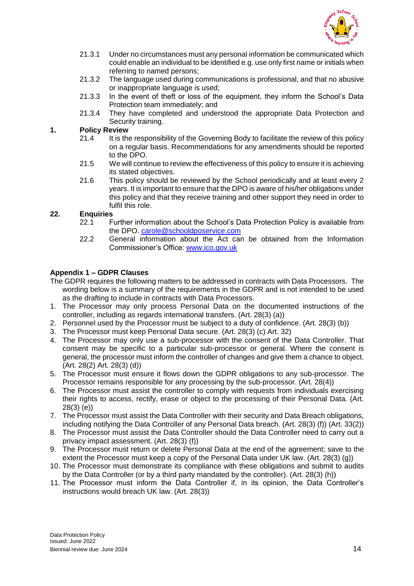

- 21.3.1 Under no circumstances must any personal information be communicated which could enable an individual to be identified e.g. use only first name or initials when referring to named persons;
- 21.3.2 The language used during communications is professional, and that no abusive or inappropriate language is used;
- 21.3.3 In the event of theft or loss of the equipment, they inform the School's Data Protection team immediately; and
- 21.3.4 They have completed and understood the appropriate Data Protection and Security training.

#### **1. Policy Review**

- 21.4 It is the responsibility of the Governing Body to facilitate the review of this policy on a regular basis. Recommendations for any amendments should be reported to the DPO.
- 21.5 We will continue to review the effectiveness of this policy to ensure it is achieving its stated objectives.
- 21.6 This policy should be reviewed by the School periodically and at least every 2 years. It is important to ensure that the DPO is aware of his/her obligations under this policy and that they receive training and other support they need in order to fulfil this role.

#### **22. Enquiries**

- 22.1 Further information about the School's Data Protection Policy is available from the DPO. [carole@schooldposervice.com](mailto:carole@schooldposervice.com)
- 22.2 General information about the Act can be obtained from the Information Commissioner's Office: [www.ico.gov.uk](http://www.ico.gov.uk/)

#### **Appendix 1 – GDPR Clauses**

- The GDPR requires the following matters to be addressed in contracts with Data Processors. The wording below is a summary of the requirements in the GDPR and is not intended to be used as the drafting to include in contracts with Data Processors.
- 1. The Processor may only process Personal Data on the documented instructions of the controller, including as regards international transfers. (Art. 28(3) (a))
- 2. Personnel used by the Processor must be subject to a duty of confidence. (Art. 28(3) (b))
- 3. The Processor must keep Personal Data secure. (Art. 28(3) (c) Art. 32)
- 4. The Processor may only use a sub-processor with the consent of the Data Controller. That consent may be specific to a particular sub-processor or general. Where the consent is general, the processor must inform the controller of changes and give them a chance to object. (Art. 28(2) Art. 28(3) (d))
- 5. The Processor must ensure it flows down the GDPR obligations to any sub-processor. The Processor remains responsible for any processing by the sub-processor. (Art. 28(4))
- 6. The Processor must assist the controller to comply with requests from individuals exercising their rights to access, rectify, erase or object to the processing of their Personal Data. (Art. 28(3) (e))
- 7. The Processor must assist the Data Controller with their security and Data Breach obligations, including notifying the Data Controller of any Personal Data breach. (Art. 28(3) (f)) (Art. 33(2))
- 8. The Processor must assist the Data Controller should the Data Controller need to carry out a privacy impact assessment. (Art. 28(3) (f))
- 9. The Processor must return or delete Personal Data at the end of the agreement; save to the extent the Processor must keep a copy of the Personal Data under UK law. (Art. 28(3) (g))
- 10. The Processor must demonstrate its compliance with these obligations and submit to audits by the Data Controller (or by a third party mandated by the controller). (Art. 28(3) (h))
- 11. The Processor must inform the Data Controller if, in its opinion, the Data Controller's instructions would breach UK law. (Art. 28(3))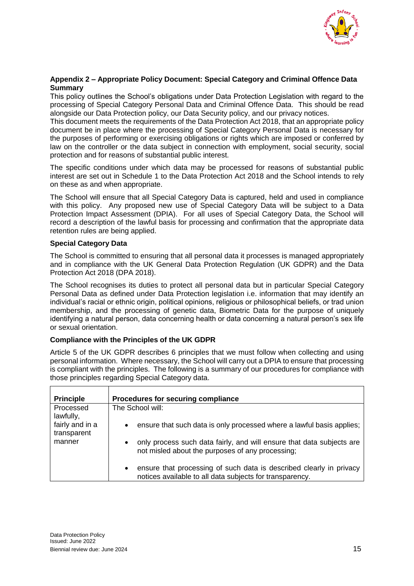

#### **Appendix 2 – Appropriate Policy Document: Special Category and Criminal Offence Data Summary**

This policy outlines the School's obligations under Data Protection Legislation with regard to the processing of Special Category Personal Data and Criminal Offence Data. This should be read alongside our Data Protection policy, our Data Security policy, and our privacy notices.

This document meets the requirements of the Data Protection Act 2018, that an appropriate policy document be in place where the processing of Special Category Personal Data is necessary for the purposes of performing or exercising obligations or rights which are imposed or conferred by law on the controller or the data subject in connection with employment, social security, social protection and for reasons of substantial public interest.

The specific conditions under which data may be processed for reasons of substantial public interest are set out in Schedule 1 to the Data Protection Act 2018 and the School intends to rely on these as and when appropriate.

The School will ensure that all Special Category Data is captured, held and used in compliance with this policy. Any proposed new use of Special Category Data will be subject to a Data Protection Impact Assessment (DPIA). For all uses of Special Category Data, the School will record a description of the lawful basis for processing and confirmation that the appropriate data retention rules are being applied.

#### **Special Category Data**

The School is committed to ensuring that all personal data it processes is managed appropriately and in compliance with the UK General Data Protection Regulation (UK GDPR) and the Data Protection Act 2018 (DPA 2018).

The School recognises its duties to protect all personal data but in particular Special Category Personal Data as defined under Data Protection legislation i.e. information that may identify an individual's racial or ethnic origin, political opinions, religious or philosophical beliefs, or trad union membership, and the processing of genetic data, Biometric Data for the purpose of uniquely identifying a natural person, data concerning health or data concerning a natural person's sex life or sexual orientation.

#### **Compliance with the Principles of the UK GDPR**

Article 5 of the UK GDPR describes 6 principles that we must follow when collecting and using personal information. Where necessary, the School will carry out a DPIA to ensure that processing is compliant with the principles. The following is a summary of our procedures for compliance with those principles regarding Special Category data.

| <b>Principle</b>               | Procedures for securing compliance                                                                                                           |
|--------------------------------|----------------------------------------------------------------------------------------------------------------------------------------------|
| Processed<br>lawfully,         | The School will:                                                                                                                             |
| fairly and in a<br>transparent | ensure that such data is only processed where a lawful basis applies;<br>$\bullet$                                                           |
| manner                         | only process such data fairly, and will ensure that data subjects are<br>$\bullet$<br>not misled about the purposes of any processing;       |
|                                | ensure that processing of such data is described clearly in privacy<br>$\bullet$<br>notices available to all data subjects for transparency. |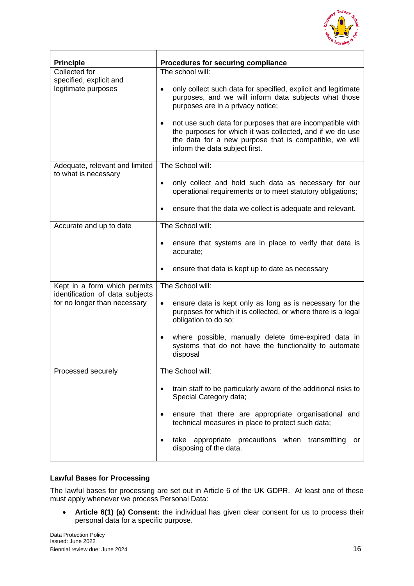

| <b>Principle</b>                                                | Procedures for securing compliance                                                                                                                                                                                              |
|-----------------------------------------------------------------|---------------------------------------------------------------------------------------------------------------------------------------------------------------------------------------------------------------------------------|
| Collected for                                                   | The school will:                                                                                                                                                                                                                |
| specified, explicit and<br>legitimate purposes                  | only collect such data for specified, explicit and legitimate<br>$\bullet$<br>purposes, and we will inform data subjects what those<br>purposes are in a privacy notice;                                                        |
|                                                                 | not use such data for purposes that are incompatible with<br>$\bullet$<br>the purposes for which it was collected, and if we do use<br>the data for a new purpose that is compatible, we will<br>inform the data subject first. |
| Adequate, relevant and limited<br>to what is necessary          | The School will:                                                                                                                                                                                                                |
|                                                                 | only collect and hold such data as necessary for our<br>$\bullet$<br>operational requirements or to meet statutory obligations;                                                                                                 |
|                                                                 | ensure that the data we collect is adequate and relevant.                                                                                                                                                                       |
| Accurate and up to date                                         | The School will:                                                                                                                                                                                                                |
|                                                                 | ensure that systems are in place to verify that data is<br>accurate;                                                                                                                                                            |
|                                                                 | ensure that data is kept up to date as necessary                                                                                                                                                                                |
| Kept in a form which permits<br>identification of data subjects | The School will:                                                                                                                                                                                                                |
| for no longer than necessary                                    | ensure data is kept only as long as is necessary for the<br>$\bullet$<br>purposes for which it is collected, or where there is a legal<br>obligation to do so;                                                                  |
|                                                                 | where possible, manually delete time-expired data in<br>$\bullet$<br>systems that do not have the functionality to automate<br>disposal                                                                                         |
| Processed securely                                              | The School will:                                                                                                                                                                                                                |
|                                                                 | train staff to be particularly aware of the additional risks to<br>$\bullet$<br>Special Category data;                                                                                                                          |
|                                                                 | ensure that there are appropriate organisational and<br>$\bullet$<br>technical measures in place to protect such data;                                                                                                          |
|                                                                 | appropriate precautions when<br>take<br>transmitting<br>or<br>$\bullet$<br>disposing of the data.                                                                                                                               |

#### **Lawful Bases for Processing**

The lawful bases for processing are set out in Article 6 of the UK GDPR. At least one of these must apply whenever we process Personal Data:

 **Article 6(1) (a) Consent:** the individual has given clear consent for us to process their personal data for a specific purpose.